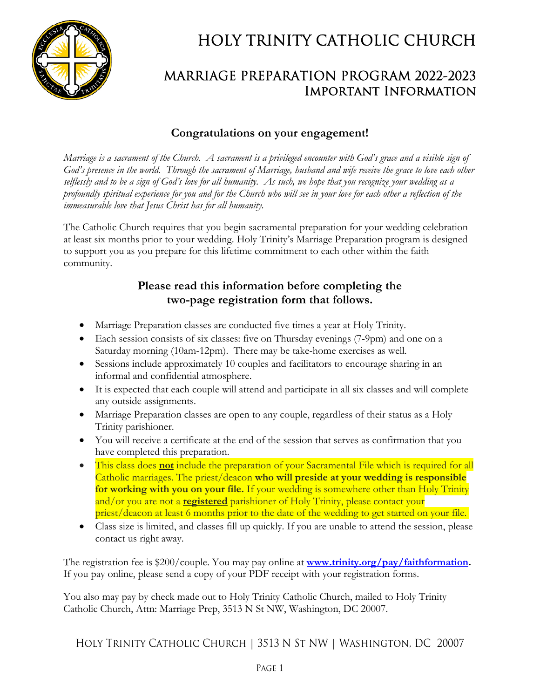

# HOLY TRINITY CATHOLIC CHURCH

### MARRIAGE PREPARATION PROGRAM 2022-2023 Important Information

#### **Congratulations on your engagement!**

*Marriage is a sacrament of the Church. A sacrament is a privileged encounter with God's grace and a visible sign of God's presence in the world. Through the sacrament of Marriage, husband and wife receive the grace to love each other selflessly and to be a sign of God's love for all humanity. As such, we hope that you recognize your wedding as a profoundly spiritual experience for you and for the Church who will see in your love for each other a reflection of the immeasurable love that Jesus Christ has for all humanity.*

The Catholic Church requires that you begin sacramental preparation for your wedding celebration at least six months prior to your wedding. Holy Trinity's Marriage Preparation program is designed to support you as you prepare for this lifetime commitment to each other within the faith community.

#### **Please read this information before completing the two-page registration form that follows.**

- Marriage Preparation classes are conducted five times a year at Holy Trinity.
- Each session consists of six classes: five on Thursday evenings (7-9pm) and one on a Saturday morning (10am-12pm). There may be take-home exercises as well.
- Sessions include approximately 10 couples and facilitators to encourage sharing in an informal and confidential atmosphere.
- It is expected that each couple will attend and participate in all six classes and will complete any outside assignments.
- Marriage Preparation classes are open to any couple, regardless of their status as a Holy Trinity parishioner.
- You will receive a certificate at the end of the session that serves as confirmation that you have completed this preparation.
- This class does **not** include the preparation of your Sacramental File which is required for all Catholic marriages. The priest/deacon **who will preside at your wedding is responsible for working with you on your file.** If your wedding is somewhere other than Holy Trinity and/or you are not a **registered** parishioner of Holy Trinity, please contact your priest/deacon at least 6 months prior to the date of the wedding to get started on your file.
- Class size is limited, and classes fill up quickly. If you are unable to attend the session, please contact us right away.

The registration fee is \$200/couple. You may pay online at **www.trinity.org/pay/faithformation.**  If you pay online, please send a copy of your PDF receipt with your registration forms.

You also may pay by check made out to Holy Trinity Catholic Church, mailed to Holy Trinity Catholic Church, Attn: Marriage Prep, 3513 N St NW, Washington, DC 20007.

Holy Trinity Catholic Church | 3513 N St NW | Washington, DC 20007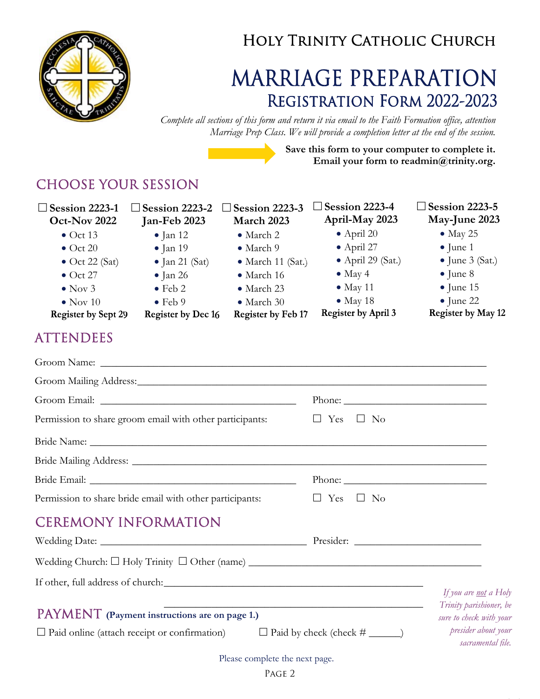

## Holy Trinity Catholic Church

# MARRIAGE PREPARATION Registration Form 2022-2023

*Complete all sections of this form and return it via email to the Faith Formation office, attention Marriage Prep Class. We will provide a completion letter at the end of the session.* 

> **Save this form to your computer to complete it. Email your form to readmin@trinity.org.**

> > / /

### CHOOSE YOUR SESSION

**Session 2223-4 Session 2223-5 Session 2223-1 Session 2223-2 Session 2223-3 April-May 2023 May-June 2023 Oct-Nov 2022 Jan-Feb 2023 March 2023**   $\bullet$  May 25  $\bullet$  Oct 13 • March 2 April 20  $\bullet$  Jan 12 April 27  $\bullet$  June 1  $\bullet$  Oct 20 • March 9  $\bullet$  Jan 19  $\bullet$  Jan 21 (Sat) • March 11 (Sat.) April 29 (Sat.)  $\bullet$  June 3 (Sat.)  $\bullet$  Oct 22 (Sat)  $\bullet$  May 4  $\bullet$  June 8  $\bullet$  Oct 27  $\bullet$  Jan 26 • March 16 • March 23  $\bullet$  May 11  $\bullet$  June 15  $\bullet$  Nov 3  $\bullet$  Feb 2  $\bullet$  May 18  $\bullet$  June 22  $\bullet$  Nov 10  $\bullet$  Feb 9 • March 30 **Register by April 3** Register by May 12 **Register by Sept 29 Register by Dec 16** Register by Feb 17 ATTENDEES Groom Name: \_\_\_\_\_\_\_\_\_\_\_\_\_\_\_\_\_\_\_\_\_\_\_\_\_\_\_\_\_\_\_\_\_\_\_\_\_\_\_\_\_\_\_\_\_\_\_\_\_\_\_\_\_\_\_\_\_\_\_\_\_\_\_\_\_\_\_\_\_\_\_\_\_ Groom Mailing Address: \_\_\_\_\_\_\_\_\_\_\_\_\_\_\_\_\_\_\_\_\_\_\_\_\_\_\_\_\_\_\_\_\_\_\_\_\_\_\_\_\_\_\_\_\_\_\_\_\_\_\_\_\_\_\_\_\_\_\_\_\_\_\_\_\_\_ Groom Email: \_\_\_\_\_\_\_\_\_\_\_\_\_\_\_\_\_\_\_\_\_\_\_\_\_\_\_\_\_\_\_\_\_\_\_\_\_ Phone: \_\_\_\_\_\_\_\_\_\_\_\_\_\_\_\_\_\_\_\_\_\_\_\_\_\_\_ Permission to share groom email with other participants:  $\square$  Yes  $\square$  No Bride Name: \_\_\_\_\_\_\_\_\_\_\_\_\_\_\_\_\_\_\_\_\_\_\_\_\_\_\_\_\_\_\_\_\_\_\_\_\_\_\_\_\_\_\_\_\_\_\_\_\_\_\_\_\_\_\_\_\_\_\_\_\_\_\_\_\_\_\_\_\_\_\_\_\_\_\_ Bride Mailing Address: \_\_\_\_\_\_\_\_\_\_\_\_\_\_\_\_\_\_\_\_\_\_\_\_\_\_\_\_\_\_\_\_\_\_\_\_\_\_\_\_\_\_\_\_\_\_\_\_\_\_\_\_\_\_\_\_\_\_\_\_\_\_\_\_\_\_\_ Bride Email: \_\_\_\_\_\_\_\_\_\_\_\_\_\_\_\_\_\_\_\_\_\_\_\_\_\_\_\_\_\_\_\_\_\_\_\_\_\_\_ Phone: \_\_\_\_\_\_\_\_\_\_\_\_\_\_\_\_\_\_\_\_\_\_\_\_\_\_\_ Permission to share bride email with other participants:  $\square$  Yes  $\square$  No CEREMONY INFORMATION Wedding Date: \_\_\_\_\_\_\_\_\_\_\_\_\_\_\_\_\_\_\_\_\_\_\_\_\_\_\_\_\_\_\_\_\_\_\_\_\_\_\_ Presider: \_\_\_\_\_\_\_\_\_\_\_\_\_\_\_\_\_\_\_\_\_\_\_\_ Wedding Church: Holy Trinity Other (name) \_\_\_\_\_\_\_\_\_\_\_\_\_\_\_\_\_\_\_\_\_\_\_\_\_\_\_\_\_\_\_\_\_\_\_\_\_\_\_\_\_\_\_\_ If other, full address of church: \_\_\_\_\_\_\_\_\_\_\_\_\_\_\_\_\_\_\_\_\_\_\_\_\_\_\_\_\_\_\_\_\_\_\_\_\_\_\_\_\_\_\_\_\_\_\_\_\_ *If you are not a Holy*  \_\_\_\_\_\_\_\_\_\_\_\_\_\_\_\_\_\_\_\_\_\_\_\_\_\_\_\_\_\_\_\_\_\_\_\_\_\_\_\_\_\_\_\_\_\_\_\_\_ *Trinity parishioner, be*  PAYMENT **(Payment instructions are on page 1.)**  *sure to check with your presider about your*   $\Box$  Paid online (attach receipt or confirmation)  $\Box$  Paid by check (check  $\#$  \_\_\_\_\_) *sacramental file.*  Please complete the next page.